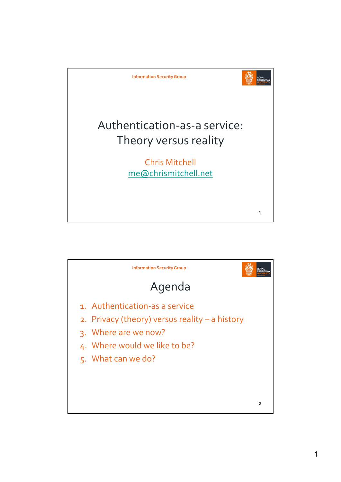

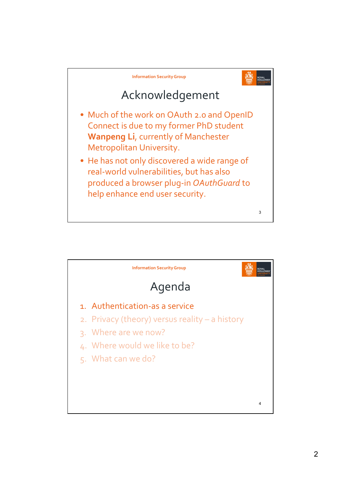

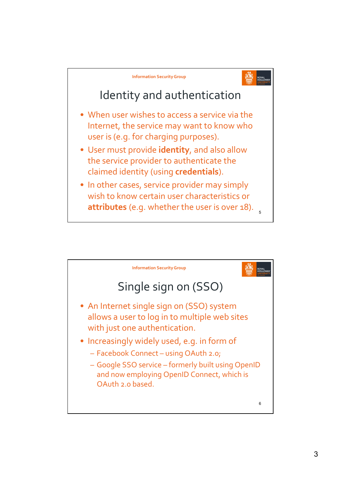

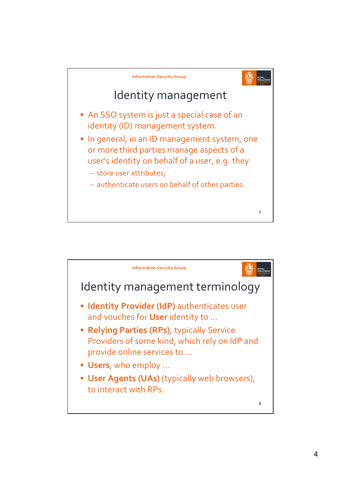

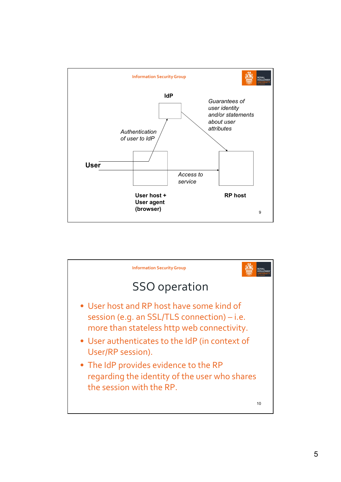

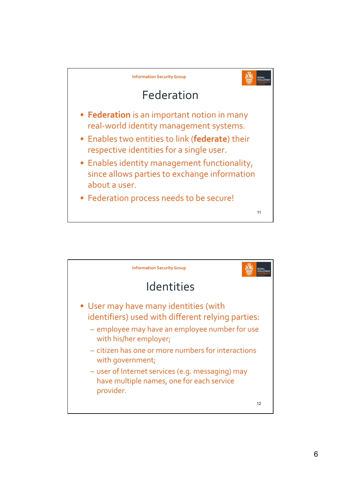

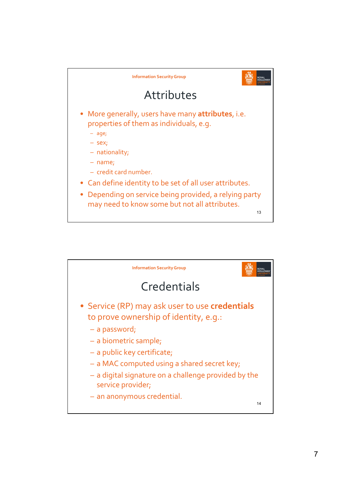

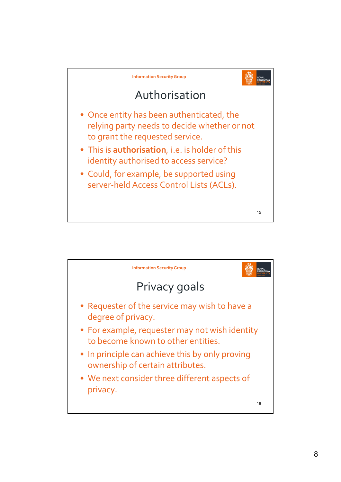

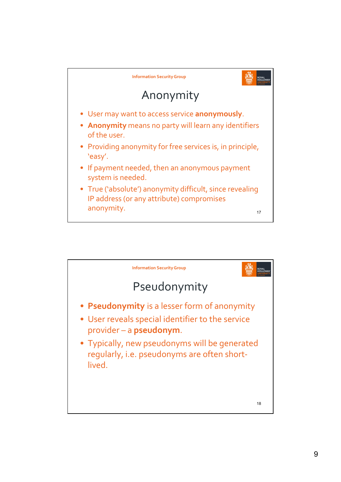

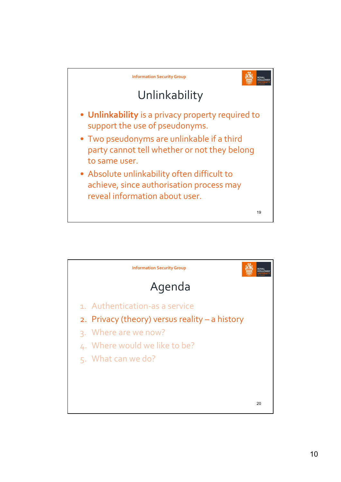

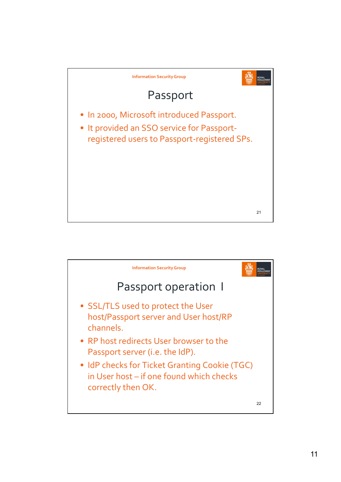

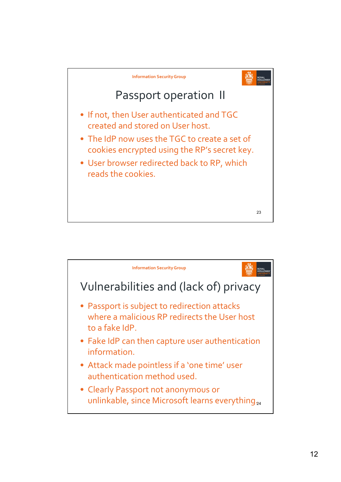

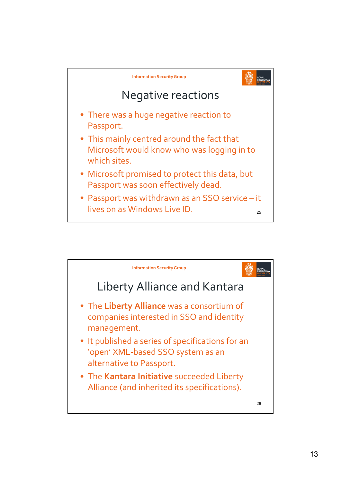

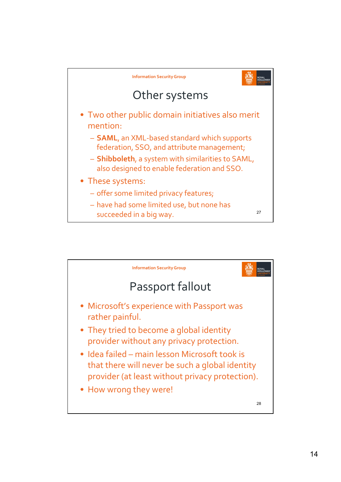

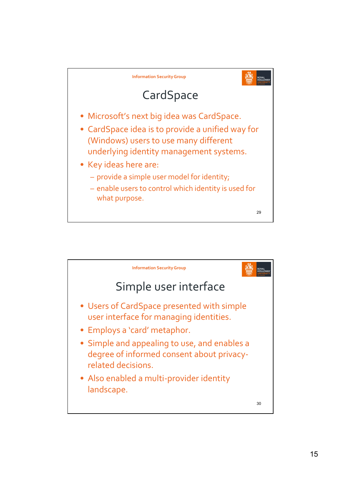

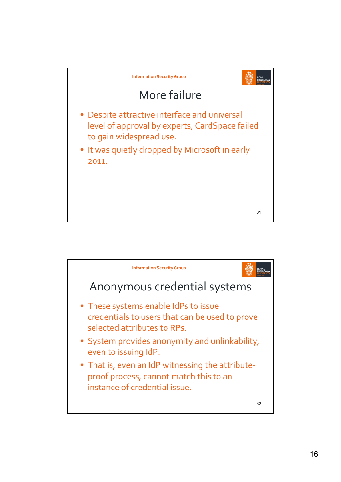

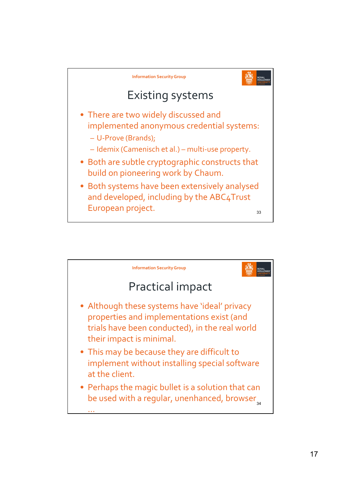

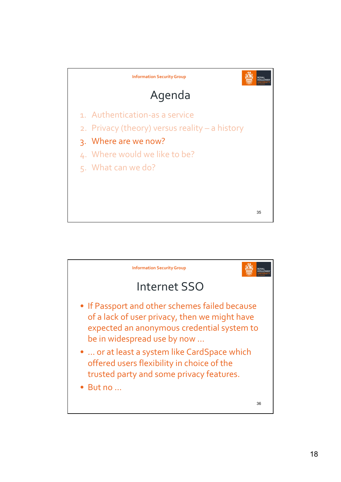

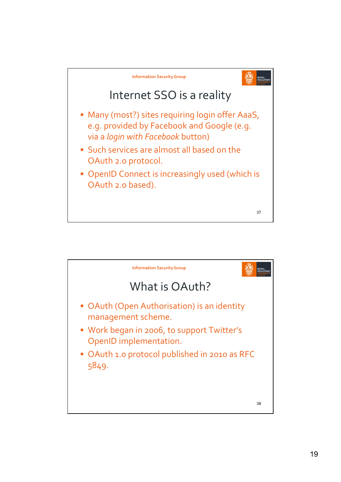

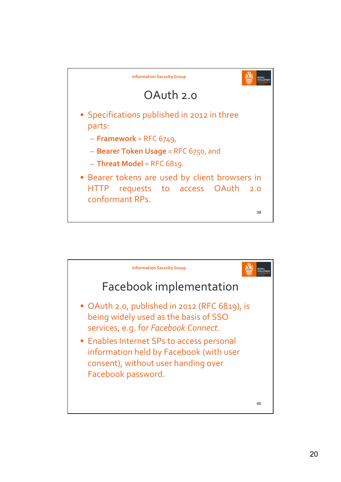

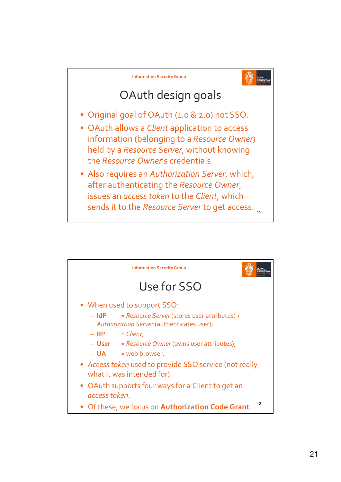

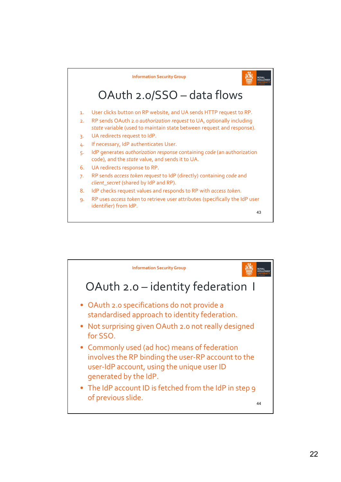

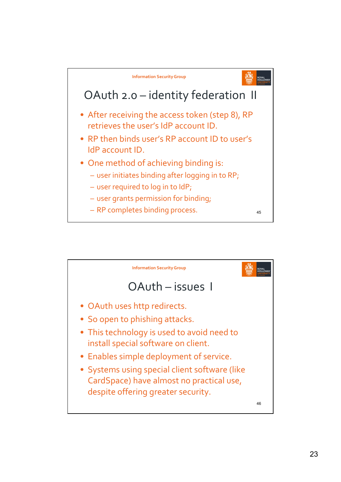

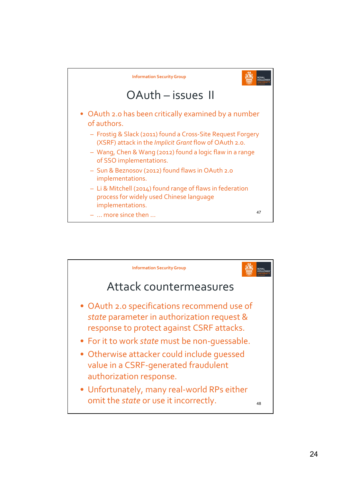

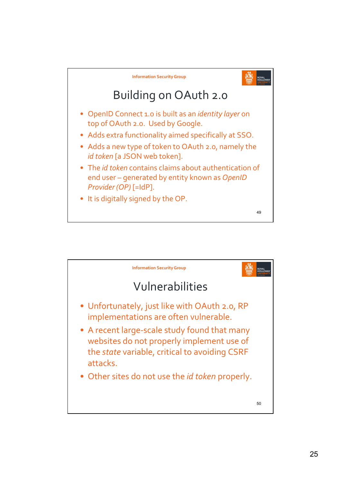

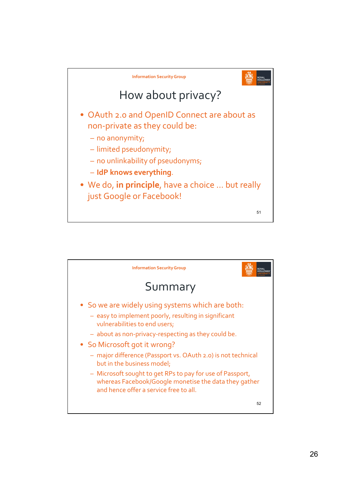

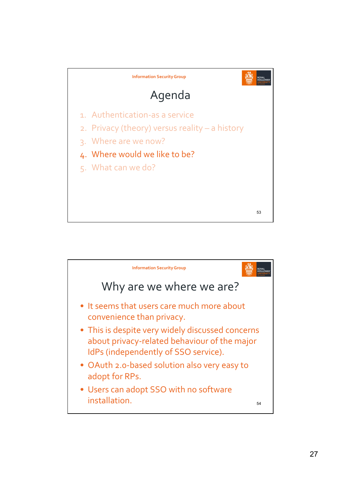

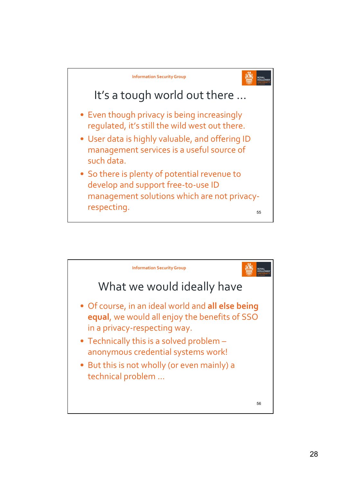

![](_page_27_Figure_1.jpeg)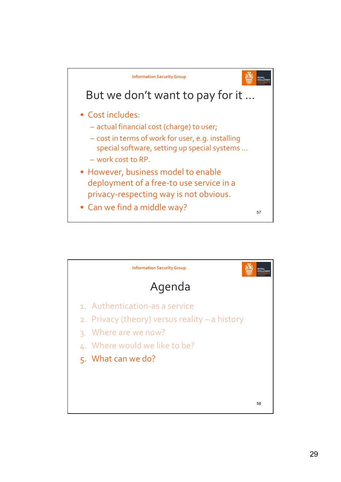![](_page_28_Figure_0.jpeg)

![](_page_28_Figure_1.jpeg)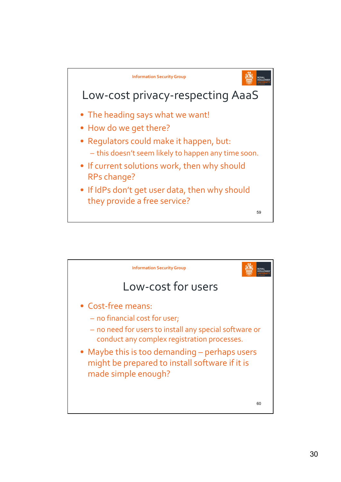![](_page_29_Figure_0.jpeg)

![](_page_29_Figure_1.jpeg)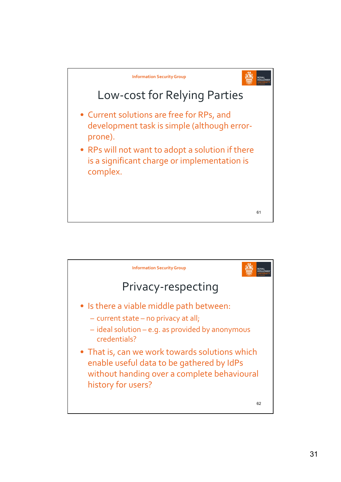![](_page_30_Figure_0.jpeg)

![](_page_30_Figure_1.jpeg)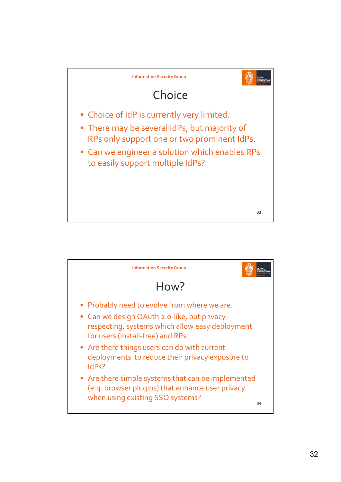![](_page_31_Figure_0.jpeg)

![](_page_31_Picture_1.jpeg)